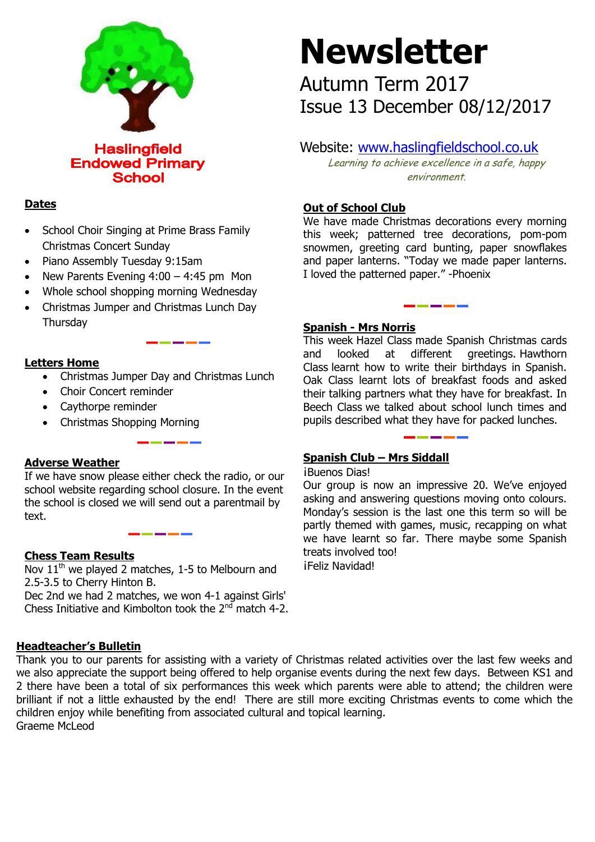

## **Dates**

- School Choir Singing at Prime Brass Family Christmas Concert Sunday
- Piano Assembly Tuesday 9:15am
- New Parents Evening  $4:00 4:45$  pm Mon
- Whole school shopping morning Wednesday
- Christmas Jumper and Christmas Lunch Day **Thursday**

#### **Letters Home**

- Christmas Jumper Day and Christmas Lunch
- Choir Concert reminder
- Caythorpe reminder
- Christmas Shopping Morning

### **Adverse Weather**

If we have snow please either check the radio, or our school website regarding school closure. In the event the school is closed we will send out a parentmail by text.

### **Chess Team Results**

Nov  $11<sup>th</sup>$  we played 2 matches, 1-5 to Melbourn and 2.5-3.5 to Cherry Hinton B.

Dec 2nd we had 2 matches, we won 4-1 against Girls' Chess Initiative and Kimbolton took the  $2^{nd}$  match 4-2.

# **Newsletter**

Autumn Term 2017 Issue 13 December 08/12/2017

Website: [www.haslingfieldschool.co.uk](http://www.haslingfieldschool.co.uk/)

Learning to achieve excellence in a safe, happy environment.

### **Out of School Club**

We have made Christmas decorations every morning this week; patterned tree decorations, pom-pom snowmen, greeting card bunting, paper snowflakes and paper lanterns. "Today we made paper lanterns. I loved the patterned paper." -Phoenix

### **Spanish - Mrs Norris**

This week Hazel Class made Spanish Christmas cards and looked at different greetings. Hawthorn Class learnt how to write their birthdays in Spanish. Oak Class learnt lots of breakfast foods and asked their talking partners what they have for breakfast. In Beech Class we talked about school lunch times and pupils described what they have for packed lunches.

### **Spanish Club – Mrs Siddall**

¡Buenos Dias!

 asking and answering questions moving onto colours. Monday's session is the last one this term so will be Our group is now an impressive 20. We've enjoyed partly themed with games, music, recapping on what we have learnt so far. There maybe some Spanish treats involved too!

iFeliz Navidad!

### **Headteacher's Bulletin**

Thank you to our parents for assisting with a variety of Christmas related activities over the last few weeks and we also appreciate the support being offered to help organise events during the next few days. Between KS1 and 2 there have been a total of six performances this week which parents were able to attend; the children were brilliant if not a little exhausted by the end! There are still more exciting Christmas events to come which the children enjoy while benefiting from associated cultural and topical learning. Graeme McLeod